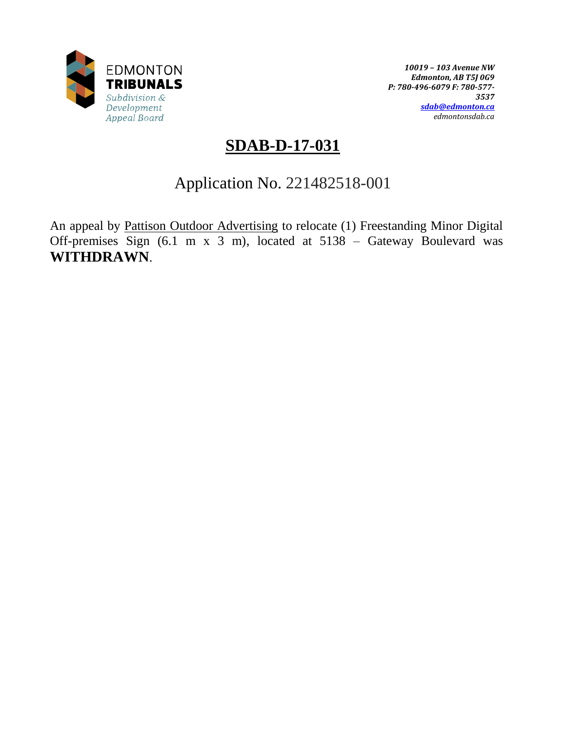

*10019 – 103 Avenue NW Edmonton, AB T5J 0G9 P: 780-496-6079 F: 780-577- 3537 [sdab@edmonton.ca](mailto:sdab@edmonton.ca) edmontonsdab.ca*

# **SDAB-D-17-031**

# Application No. 221482518-001

An appeal by Pattison Outdoor Advertising to relocate (1) Freestanding Minor Digital Off-premises Sign (6.1 m x 3 m), located at 5138 – Gateway Boulevard was **WITHDRAWN**.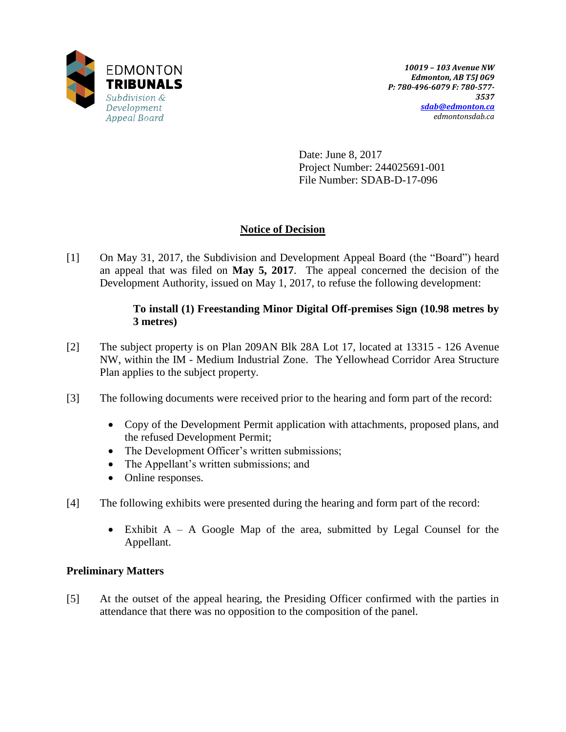

Date: June 8, 2017 Project Number: 244025691-001 File Number: SDAB-D-17-096

## **Notice of Decision**

[1] On May 31, 2017, the Subdivision and Development Appeal Board (the "Board") heard an appeal that was filed on **May 5, 2017**. The appeal concerned the decision of the Development Authority, issued on May 1, 2017, to refuse the following development:

## **To install (1) Freestanding Minor Digital Off-premises Sign (10.98 metres by 3 metres)**

- [2] The subject property is on Plan 209AN Blk 28A Lot 17, located at 13315 126 Avenue NW, within the IM - Medium Industrial Zone. The Yellowhead Corridor Area Structure Plan applies to the subject property.
- [3] The following documents were received prior to the hearing and form part of the record:
	- Copy of the Development Permit application with attachments, proposed plans, and the refused Development Permit;
	- The Development Officer's written submissions;
	- The Appellant's written submissions; and
	- Online responses.
- [4] The following exhibits were presented during the hearing and form part of the record:
	- Exhibit A A Google Map of the area, submitted by Legal Counsel for the Appellant.

### **Preliminary Matters**

[5] At the outset of the appeal hearing, the Presiding Officer confirmed with the parties in attendance that there was no opposition to the composition of the panel.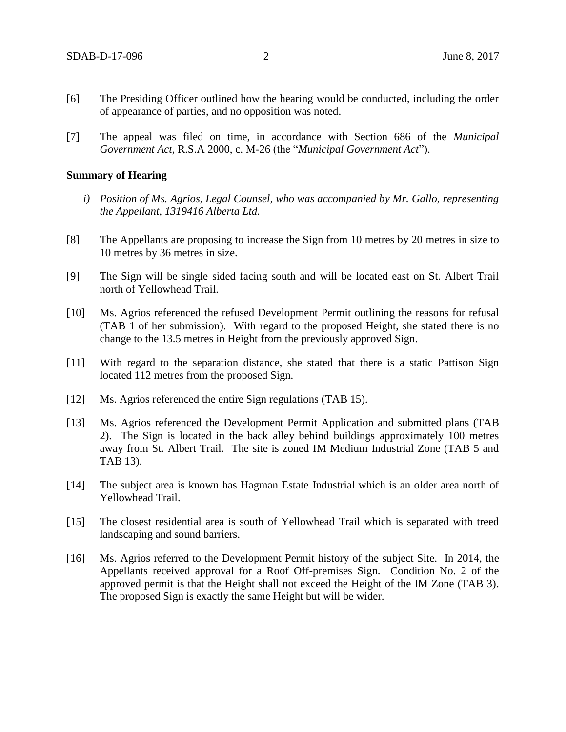- [6] The Presiding Officer outlined how the hearing would be conducted, including the order of appearance of parties, and no opposition was noted.
- [7] The appeal was filed on time, in accordance with Section 686 of the *Municipal Government Act*, R.S.A 2000, c. M-26 (the "*Municipal Government Act*").

#### **Summary of Hearing**

- *i) Position of Ms. Agrios, Legal Counsel, who was accompanied by Mr. Gallo, representing the Appellant, 1319416 Alberta Ltd.*
- [8] The Appellants are proposing to increase the Sign from 10 metres by 20 metres in size to 10 metres by 36 metres in size.
- [9] The Sign will be single sided facing south and will be located east on St. Albert Trail north of Yellowhead Trail.
- [10] Ms. Agrios referenced the refused Development Permit outlining the reasons for refusal (TAB 1 of her submission). With regard to the proposed Height, she stated there is no change to the 13.5 metres in Height from the previously approved Sign.
- [11] With regard to the separation distance, she stated that there is a static Pattison Sign located 112 metres from the proposed Sign.
- [12] Ms. Agrios referenced the entire Sign regulations (TAB 15).
- [13] Ms. Agrios referenced the Development Permit Application and submitted plans (TAB 2). The Sign is located in the back alley behind buildings approximately 100 metres away from St. Albert Trail. The site is zoned IM Medium Industrial Zone (TAB 5 and TAB 13).
- [14] The subject area is known has Hagman Estate Industrial which is an older area north of Yellowhead Trail.
- [15] The closest residential area is south of Yellowhead Trail which is separated with treed landscaping and sound barriers.
- [16] Ms. Agrios referred to the Development Permit history of the subject Site. In 2014, the Appellants received approval for a Roof Off-premises Sign. Condition No. 2 of the approved permit is that the Height shall not exceed the Height of the IM Zone (TAB 3). The proposed Sign is exactly the same Height but will be wider.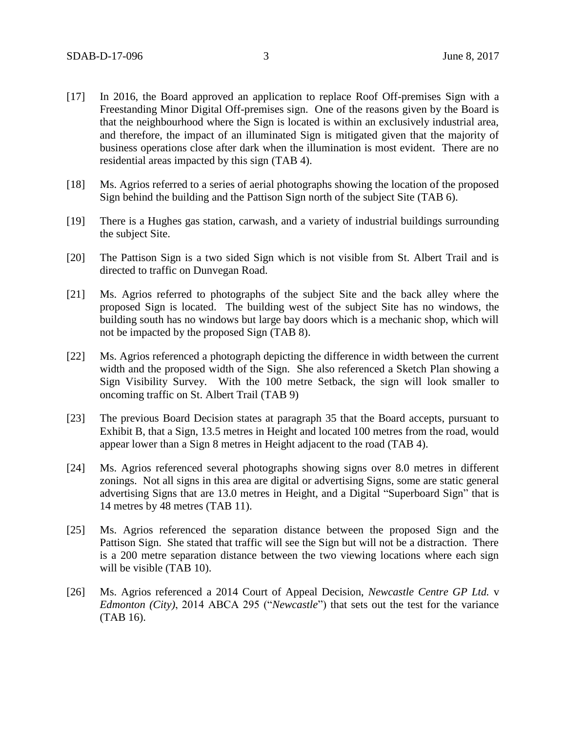- [17] In 2016, the Board approved an application to replace Roof Off-premises Sign with a Freestanding Minor Digital Off-premises sign. One of the reasons given by the Board is that the neighbourhood where the Sign is located is within an exclusively industrial area, and therefore, the impact of an illuminated Sign is mitigated given that the majority of business operations close after dark when the illumination is most evident. There are no residential areas impacted by this sign (TAB 4).
- [18] Ms. Agrios referred to a series of aerial photographs showing the location of the proposed Sign behind the building and the Pattison Sign north of the subject Site (TAB 6).
- [19] There is a Hughes gas station, carwash, and a variety of industrial buildings surrounding the subject Site.
- [20] The Pattison Sign is a two sided Sign which is not visible from St. Albert Trail and is directed to traffic on Dunvegan Road.
- [21] Ms. Agrios referred to photographs of the subject Site and the back alley where the proposed Sign is located. The building west of the subject Site has no windows, the building south has no windows but large bay doors which is a mechanic shop, which will not be impacted by the proposed Sign (TAB 8).
- [22] Ms. Agrios referenced a photograph depicting the difference in width between the current width and the proposed width of the Sign. She also referenced a Sketch Plan showing a Sign Visibility Survey. With the 100 metre Setback, the sign will look smaller to oncoming traffic on St. Albert Trail (TAB 9)
- [23] The previous Board Decision states at paragraph 35 that the Board accepts, pursuant to Exhibit B, that a Sign, 13.5 metres in Height and located 100 metres from the road, would appear lower than a Sign 8 metres in Height adjacent to the road (TAB 4).
- [24] Ms. Agrios referenced several photographs showing signs over 8.0 metres in different zonings. Not all signs in this area are digital or advertising Signs, some are static general advertising Signs that are 13.0 metres in Height, and a Digital "Superboard Sign" that is 14 metres by 48 metres (TAB 11).
- [25] Ms. Agrios referenced the separation distance between the proposed Sign and the Pattison Sign. She stated that traffic will see the Sign but will not be a distraction. There is a 200 metre separation distance between the two viewing locations where each sign will be visible (TAB 10).
- [26] Ms. Agrios referenced a 2014 Court of Appeal Decision, *Newcastle Centre GP Ltd.* v *Edmonton (City)*, 2014 ABCA 295 ("*Newcastle*") that sets out the test for the variance (TAB 16).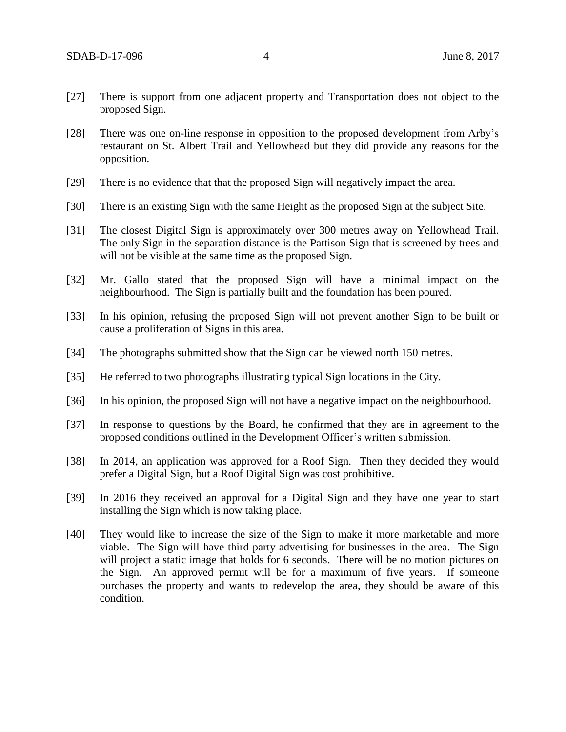- [27] There is support from one adjacent property and Transportation does not object to the proposed Sign.
- [28] There was one on-line response in opposition to the proposed development from Arby's restaurant on St. Albert Trail and Yellowhead but they did provide any reasons for the opposition.
- [29] There is no evidence that that the proposed Sign will negatively impact the area.
- [30] There is an existing Sign with the same Height as the proposed Sign at the subject Site.
- [31] The closest Digital Sign is approximately over 300 metres away on Yellowhead Trail. The only Sign in the separation distance is the Pattison Sign that is screened by trees and will not be visible at the same time as the proposed Sign.
- [32] Mr. Gallo stated that the proposed Sign will have a minimal impact on the neighbourhood. The Sign is partially built and the foundation has been poured.
- [33] In his opinion, refusing the proposed Sign will not prevent another Sign to be built or cause a proliferation of Signs in this area.
- [34] The photographs submitted show that the Sign can be viewed north 150 metres.
- [35] He referred to two photographs illustrating typical Sign locations in the City.
- [36] In his opinion, the proposed Sign will not have a negative impact on the neighbourhood.
- [37] In response to questions by the Board, he confirmed that they are in agreement to the proposed conditions outlined in the Development Officer's written submission.
- [38] In 2014, an application was approved for a Roof Sign. Then they decided they would prefer a Digital Sign, but a Roof Digital Sign was cost prohibitive.
- [39] In 2016 they received an approval for a Digital Sign and they have one year to start installing the Sign which is now taking place.
- [40] They would like to increase the size of the Sign to make it more marketable and more viable. The Sign will have third party advertising for businesses in the area. The Sign will project a static image that holds for 6 seconds. There will be no motion pictures on the Sign. An approved permit will be for a maximum of five years. If someone purchases the property and wants to redevelop the area, they should be aware of this condition.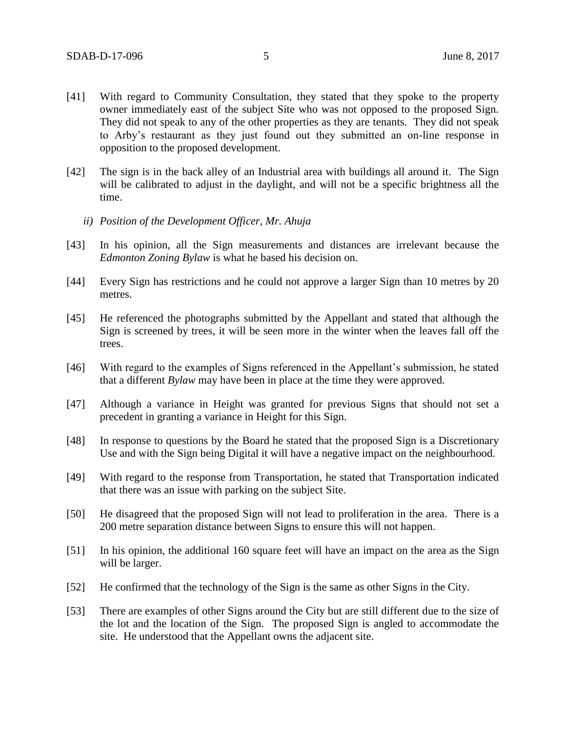- [41] With regard to Community Consultation, they stated that they spoke to the property owner immediately east of the subject Site who was not opposed to the proposed Sign. They did not speak to any of the other properties as they are tenants. They did not speak to Arby's restaurant as they just found out they submitted an on-line response in opposition to the proposed development.
- [42] The sign is in the back alley of an Industrial area with buildings all around it. The Sign will be calibrated to adjust in the daylight, and will not be a specific brightness all the time.
	- *ii) Position of the Development Officer, Mr. Ahuja*
- [43] In his opinion, all the Sign measurements and distances are irrelevant because the *Edmonton Zoning Bylaw* is what he based his decision on.
- [44] Every Sign has restrictions and he could not approve a larger Sign than 10 metres by 20 metres.
- [45] He referenced the photographs submitted by the Appellant and stated that although the Sign is screened by trees, it will be seen more in the winter when the leaves fall off the trees.
- [46] With regard to the examples of Signs referenced in the Appellant's submission, he stated that a different *Bylaw* may have been in place at the time they were approved.
- [47] Although a variance in Height was granted for previous Signs that should not set a precedent in granting a variance in Height for this Sign.
- [48] In response to questions by the Board he stated that the proposed Sign is a Discretionary Use and with the Sign being Digital it will have a negative impact on the neighbourhood.
- [49] With regard to the response from Transportation, he stated that Transportation indicated that there was an issue with parking on the subject Site.
- [50] He disagreed that the proposed Sign will not lead to proliferation in the area. There is a 200 metre separation distance between Signs to ensure this will not happen.
- [51] In his opinion, the additional 160 square feet will have an impact on the area as the Sign will be larger.
- [52] He confirmed that the technology of the Sign is the same as other Signs in the City.
- [53] There are examples of other Signs around the City but are still different due to the size of the lot and the location of the Sign. The proposed Sign is angled to accommodate the site. He understood that the Appellant owns the adjacent site.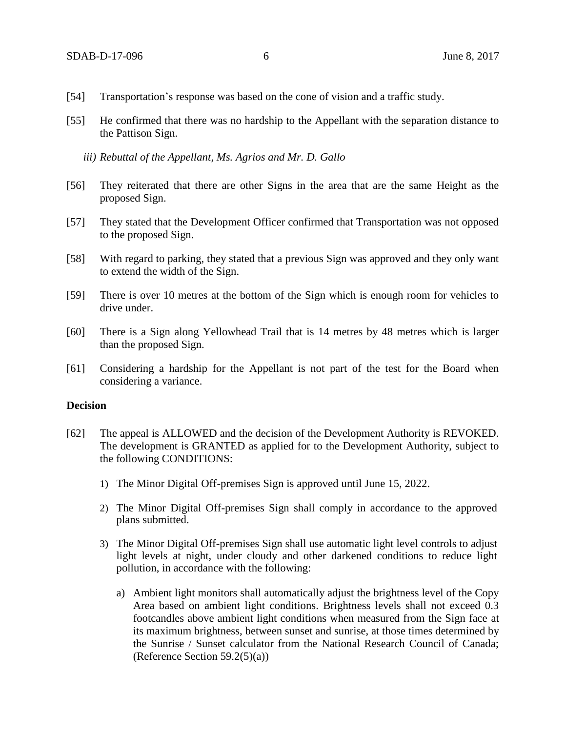- [54] Transportation's response was based on the cone of vision and a traffic study.
- [55] He confirmed that there was no hardship to the Appellant with the separation distance to the Pattison Sign.
	- *iii) Rebuttal of the Appellant, Ms. Agrios and Mr. D. Gallo*
- [56] They reiterated that there are other Signs in the area that are the same Height as the proposed Sign.
- [57] They stated that the Development Officer confirmed that Transportation was not opposed to the proposed Sign.
- [58] With regard to parking, they stated that a previous Sign was approved and they only want to extend the width of the Sign.
- [59] There is over 10 metres at the bottom of the Sign which is enough room for vehicles to drive under.
- [60] There is a Sign along Yellowhead Trail that is 14 metres by 48 metres which is larger than the proposed Sign.
- [61] Considering a hardship for the Appellant is not part of the test for the Board when considering a variance.

#### **Decision**

- [62] The appeal is ALLOWED and the decision of the Development Authority is REVOKED. The development is GRANTED as applied for to the Development Authority, subject to the following CONDITIONS:
	- 1) The Minor Digital Off-premises Sign is approved until June 15, 2022.
	- 2) The Minor Digital Off-premises Sign shall comply in accordance to the approved plans submitted.
	- 3) The Minor Digital Off-premises Sign shall use automatic light level controls to adjust light levels at night, under cloudy and other darkened conditions to reduce light pollution, in accordance with the following:
		- a) Ambient light monitors shall automatically adjust the brightness level of the Copy Area based on ambient light conditions. Brightness levels shall not exceed 0.3 footcandles above ambient light conditions when measured from the Sign face at its maximum brightness, between sunset and sunrise, at those times determined by the Sunrise / Sunset calculator from the National Research Council of Canada; (Reference Section 59.2(5)(a))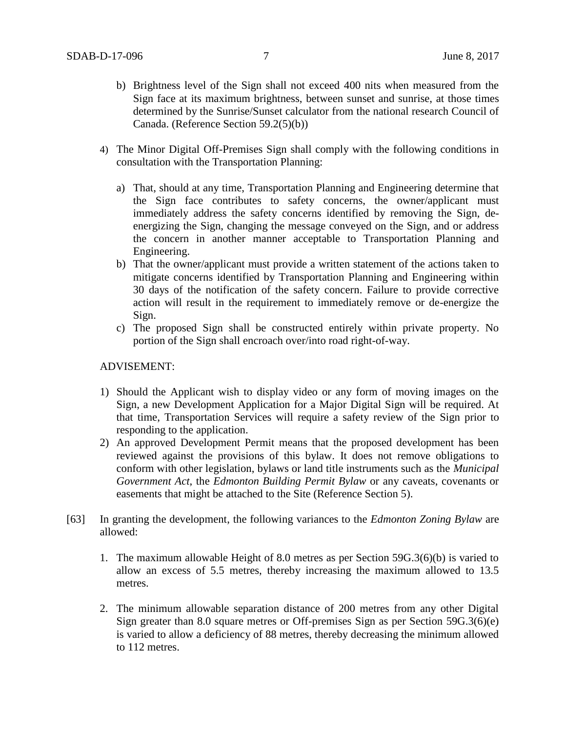- b) Brightness level of the Sign shall not exceed 400 nits when measured from the Sign face at its maximum brightness, between sunset and sunrise, at those times determined by the Sunrise/Sunset calculator from the national research Council of Canada. (Reference Section 59.2(5)(b))
- 4) The Minor Digital Off-Premises Sign shall comply with the following conditions in consultation with the Transportation Planning:
	- a) That, should at any time, Transportation Planning and Engineering determine that the Sign face contributes to safety concerns, the owner/applicant must immediately address the safety concerns identified by removing the Sign, deenergizing the Sign, changing the message conveyed on the Sign, and or address the concern in another manner acceptable to Transportation Planning and Engineering.
	- b) That the owner/applicant must provide a written statement of the actions taken to mitigate concerns identified by Transportation Planning and Engineering within 30 days of the notification of the safety concern. Failure to provide corrective action will result in the requirement to immediately remove or de-energize the Sign.
	- c) The proposed Sign shall be constructed entirely within private property. No portion of the Sign shall encroach over/into road right-of-way.

#### ADVISEMENT:

- 1) Should the Applicant wish to display video or any form of moving images on the Sign, a new Development Application for a Major Digital Sign will be required. At that time, Transportation Services will require a safety review of the Sign prior to responding to the application.
- 2) An approved Development Permit means that the proposed development has been reviewed against the provisions of this bylaw. It does not remove obligations to conform with other legislation, bylaws or land title instruments such as the *Municipal Government Act*, the *Edmonton Building Permit Bylaw* or any caveats, covenants or easements that might be attached to the Site (Reference Section 5).
- [63] In granting the development, the following variances to the *Edmonton Zoning Bylaw* are allowed:
	- 1. The maximum allowable Height of 8.0 metres as per Section 59G.3(6)(b) is varied to allow an excess of 5.5 metres, thereby increasing the maximum allowed to 13.5 metres.
	- 2. The minimum allowable separation distance of 200 metres from any other Digital Sign greater than 8.0 square metres or Off-premises Sign as per Section 59G.3(6)(e) is varied to allow a deficiency of 88 metres, thereby decreasing the minimum allowed to 112 metres.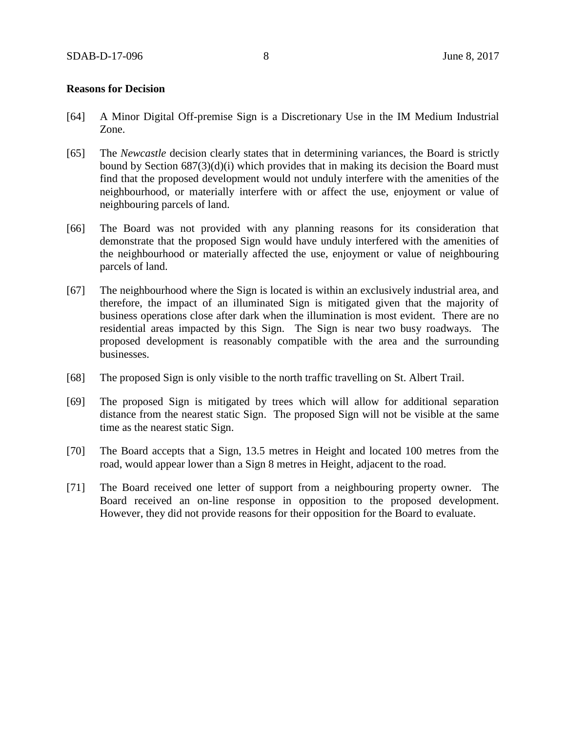#### **Reasons for Decision**

- [64] A Minor Digital Off-premise Sign is a Discretionary Use in the IM Medium Industrial Zone.
- [65] The *Newcastle* decision clearly states that in determining variances, the Board is strictly bound by Section 687(3)(d)(i) which provides that in making its decision the Board must find that the proposed development would not unduly interfere with the amenities of the neighbourhood, or materially interfere with or affect the use, enjoyment or value of neighbouring parcels of land.
- [66] The Board was not provided with any planning reasons for its consideration that demonstrate that the proposed Sign would have unduly interfered with the amenities of the neighbourhood or materially affected the use, enjoyment or value of neighbouring parcels of land.
- [67] The neighbourhood where the Sign is located is within an exclusively industrial area, and therefore, the impact of an illuminated Sign is mitigated given that the majority of business operations close after dark when the illumination is most evident. There are no residential areas impacted by this Sign. The Sign is near two busy roadways. The proposed development is reasonably compatible with the area and the surrounding businesses.
- [68] The proposed Sign is only visible to the north traffic travelling on St. Albert Trail.
- [69] The proposed Sign is mitigated by trees which will allow for additional separation distance from the nearest static Sign. The proposed Sign will not be visible at the same time as the nearest static Sign.
- [70] The Board accepts that a Sign, 13.5 metres in Height and located 100 metres from the road, would appear lower than a Sign 8 metres in Height, adjacent to the road.
- [71] The Board received one letter of support from a neighbouring property owner. The Board received an on-line response in opposition to the proposed development. However, they did not provide reasons for their opposition for the Board to evaluate.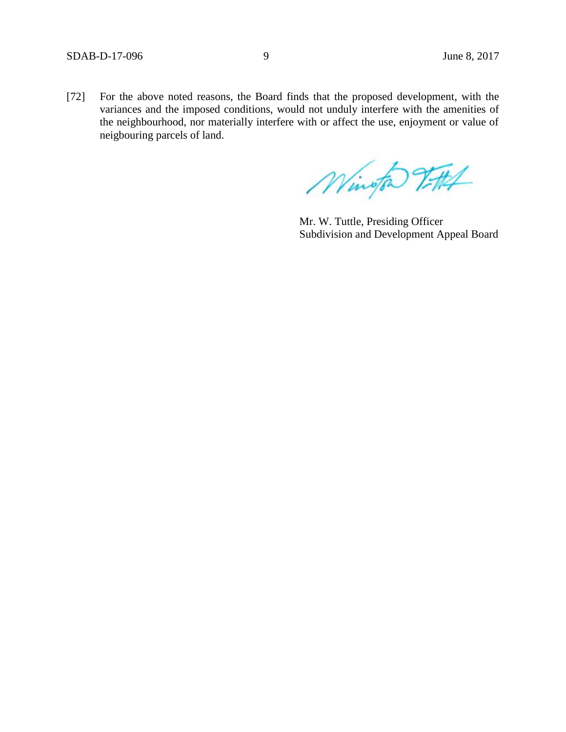[72] For the above noted reasons, the Board finds that the proposed development, with the variances and the imposed conditions, would not unduly interfere with the amenities of the neighbourhood, nor materially interfere with or affect the use, enjoyment or value of neigbouring parcels of land.

Wington Vittel

Mr. W. Tuttle, Presiding Officer Subdivision and Development Appeal Board